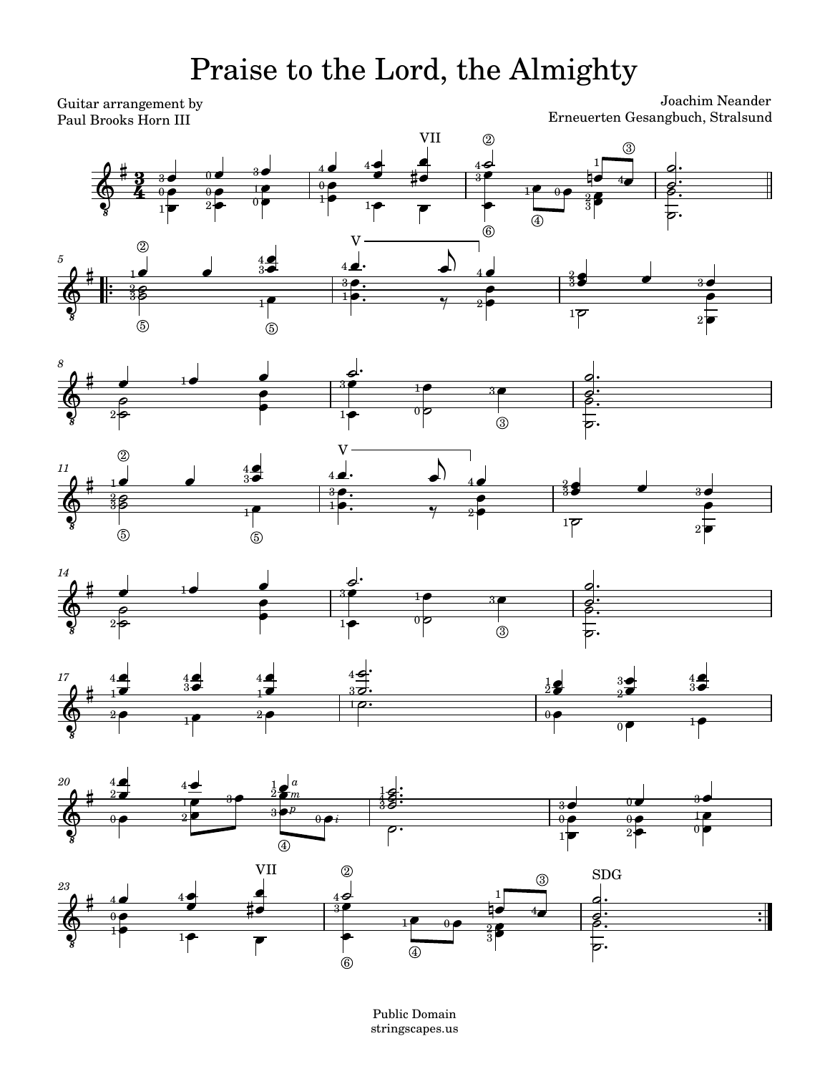## Praise to the Lord, the Almighty

Guitar arrangement by Paul Brooks Horn III

Joachim Neander Erneuerten Gesangbuch, Stralsund















Public Domain stringscapes.us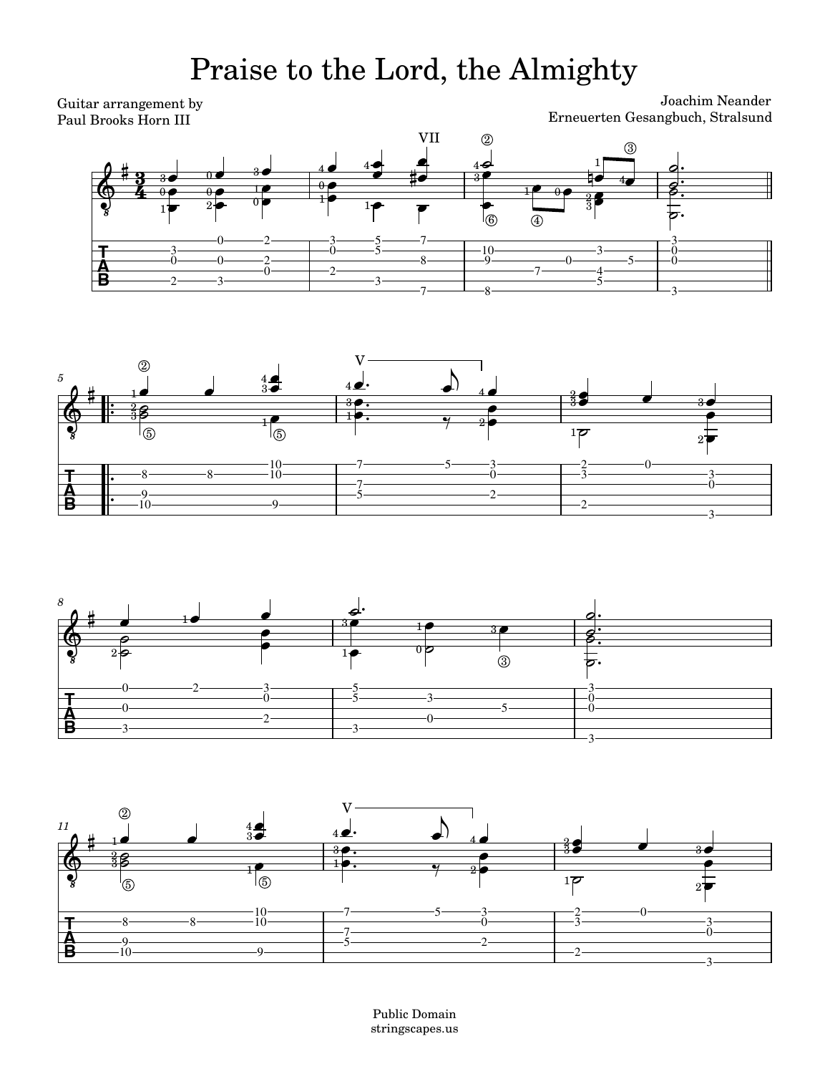## Praise to the Lord, the Almighty

Joachim Neander Erneuerten Gesangbuch, Stralsund Guitar arrangement by Paul Brooks Horn III *11 8 5*  $\overline{\cdot}$  $\overline{\cdot}$  $\frac{1}{\cdot}$  $\ddot{\cdot}$  $\frac{40}{30}$  $-5$  $5$  3 3  $\frac{3}{0}$ 2 2  $\Omega$ 3  $\frac{3}{0}$ 3 0  $-0$ 2  $-2$  $\theta$ 9 5  $7$ ——  $\cdot$ 10 $\cdot$ 9 3  $\overline{2}$ 0 5  $7$ —— 9 3 0 10 9  $3$ —  $5$ — 7——————8——  $0 \longrightarrow$  $\overline{4}$   $\overline{\phantom{1}}$  $-0$ 7  $\frac{10}{9}$  $2 \longrightarrow 3 \longrightarrow 3 \longrightarrow 3 \longrightarrow$ 2  $0$ —— 0  $0 \longrightarrow 0 \longrightarrow 2$  $0$ — 3  $5 - 3 - 2$  $0$ —  $0$ ——  $3$ — 3  $5 - 3 - 2$  $7$ ——  $\frac{10}{10}$  $-8$   $-8$  $3 \rightarrow 5 \rightarrow$  $7$ —— 10 10  $0 \longrightarrow 2 \longrightarrow$ 8 8  $0 \longrightarrow$  $3$ — 5  $10 - 3 - 3$ 8  $7$ ——  $5$ —  $0 \rightarrow 2 \rightarrow 3 \rightarrow 5 \rightarrow$  $3$ —  $\bullet$  30  $\overset{\bm{\theta}^{\cdot}}{\longrightarrow}$  $\overline{\bullet}$  $\frac{1}{\sqrt{1-\frac{1}{2}}\sqrt{1-\frac{1}{2}}\left(\frac{1}{2}-\frac{1}{2}\right)}$  $\frac{1}{2}$  $\frac{1}{\sqrt{1-\frac{1}{2}}}$   $\overline{\phantom{a}}$ Ь 8.<br>.<br>.  $\frac{1}{\sqrt{2}}$  $\circ$  $\frac{1}{\sqrt{1-\frac{1}{2}}\sqrt{1-\frac{1}{2}}\left(\frac{1}{2}-\frac{1}{2}\right)}$  $\frac{1}{2}$  $\frac{3}{3}$ . 5  $\overline{\bullet}$  $\frac{1}{\sqrt{1-\frac{1}{2}}\sqrt{1-\frac{1}{2}}\left(\frac{1}{2}-\frac{1}{2}\right)}$   $\frac{1}{\sqrt{2}}$  $\frac{1}{2}$  $\frac{1}{2}$  $\frac{1}{\sqrt{1-\frac{1}{2}}\sqrt{1-\frac{1}{2}}\left(\frac{1}{2}-\frac{1}{2}\right)}$   $\overline{z}$ . 8.<br>.<br>.  $\overline{\mathbf{z}}$  $\begin{array}{c|c}\n\bullet & \bullet \\
\hline\n\circ & \circ \\
\hline\n\circ & \circ \\
\hline\n\circ & \circ\n\end{array}$  $\begin{array}{c|c}\n\hline\n\end{array}$  $\overset{\theta}{\phantom{z}}$  $\frac{1}{\cdot}$  $\frac{1}{\bullet}$ .  $\frac{1}{2}$  $\frac{1}{\sqrt{1-\frac{1}{2}}}$  $\begin{array}{c} \begin{array}{c} \hline \hline \hline \hline \end{array} \end{array}$  $\bullet$  $\bullet$   $\bullet$  $\frac{1}{2}$  $\frac{1}{\sigma}$   $\frac{1}{2}$  $\begin{array}{c|c}\n\hline\n\bullet & \theta \\
\hline\n\theta & \theta\n\end{array}$  $\frac{1}{\sqrt{1-\frac{1}{\sqrt{1-\frac{1}{\sqrt{1-\frac{1}{\sqrt{1-\frac{1}{\sqrt{1-\frac{1}{\sqrt{1-\frac{1}{\sqrt{1-\frac{1}{\sqrt{1-\frac{1}{\sqrt{1-\frac{1}{\sqrt{1-\frac{1}{\sqrt{1-\frac{1}{\sqrt{1-\frac{1}{\sqrt{1-\frac{1}{\sqrt{1-\frac{1}{\sqrt{1-\frac{1}{\sqrt{1-\frac{1}{\sqrt{1-\frac{1}{\sqrt{1-\frac{1}{\sqrt{1-\frac{1}{\sqrt{1-\frac{1}{\sqrt{1-\frac{1}{\sqrt{1-\frac{1}{\sqrt{1-\frac{1}{\sqrt{1-\frac{1$  $\begin{array}{|c|c|} \hline \multicolumn{1}{|c|}{\phantom{1}} & \multicolumn{1}{|c|}{\phantom{1}} \\ \hline \multicolumn{1}{|c|}{\phantom{1}} & \multicolumn{1}{|c|}{\phantom{1}} \\ \hline \multicolumn{1}{|c|}{\phantom{1}} & \multicolumn{1}{|c|}{\phantom{1}} \\ \hline \multicolumn{1}{|c|}{\phantom{1}} & \multicolumn{1}{|c|}{\phantom{1}} \\ \hline \multicolumn{1}{|c|}{\phantom{1}} & \multicolumn{1}{|c|}{\phantom{1}} \\ \hline \multicolumn{1}{|c|}{$  $\overline{\mathcal{E}}$  .  $\circ \cdot$  $\begin{array}{c|c}\n\bullet & 4 \bullet\n\end{array}$  $\frac{4}{3}$   $\frac{4}{9}$ .  $\overrightarrow{\cdot}$  $\frac{1}{3}$  $\frac{1}{\sqrt{1-\frac{1}{2}}\sqrt{1-\frac{1}{2}}\sqrt{1-\frac{1}{2}}\sqrt{1-\frac{1}{2}}}}$  $\frac{1}{\sqrt{1-\frac{1}{\sqrt{1-\frac{1}{\sqrt{1-\frac{1}{\sqrt{1-\frac{1}{\sqrt{1-\frac{1}{\sqrt{1-\frac{1}{\sqrt{1-\frac{1}{\sqrt{1-\frac{1}{\sqrt{1-\frac{1}{\sqrt{1-\frac{1}{\sqrt{1-\frac{1}{\sqrt{1-\frac{1}{\sqrt{1-\frac{1}{\sqrt{1-\frac{1}{\sqrt{1-\frac{1}{\sqrt{1-\frac{1}{\sqrt{1-\frac{1}{\sqrt{1-\frac{1}{\sqrt{1-\frac{1}{\sqrt{1-\frac{1}{\sqrt{1-\frac{1}{\sqrt{1-\frac{1}{\sqrt{1-\frac{1}{\sqrt{1-\frac{1$  $\begin{array}{|c|c|c|}\n\hline\n\text{1} & \text{4} & \text{5} \\
\hline\n\end{array}$  $\frac{3}{6}$  $\frac{a}{\cdot}$  $\frac{1}{\bullet}$  4  $\frac{1}{\sigma}$  $\overline{\cdot}$  $\overline{\phantom{a}}$  $\begin{array}{c|c}\n\bullet & 4 \bullet\n\end{array}$  $\frac{4}{3}$   $\frac{4}{9}$ .  $\overrightarrow{\cdot}$  $\begin{array}{c|c} \hline \bullet & 4 & \bullet \\ \hline \end{array}$  $\frac{3}{10}$  $\frac{1}{2}$  $\frac{1}{\beta}$  $\frac{1}{\beta}$  $\frac{1}{6}$  $\frac{1}{\beta}$  $\oint_0^{\pi} \frac{3}{3}$  $\oint_{\partial B}$  $\circ$   $\frac{125}{1}$  $\frac{1}{2}$  $\frac{1}{2}$  $\sharp$  . The set of  $\sharp$ <u># µ.−</u>  $\begin{array}{c|c}\n\text{#} & \text{3} \\
\hline\n\text{3} & \text{3} \\
\hline\n\text{4} & \text{0} \\
\hline\n\end{array}$  $\gamma$  $\frac{1}{\sqrt{2}}$  $\overline{\phantom{0}}$  $\overline{\phantom{0}}$ 3  $3$   $\rho$   $\qquad$  $1 \blacktriangleright$ 3P - $2^{\frac{1}{2}}$  $_{\rm 2}$ p $2\bullet$  $0$ p $2$ P $-$ 1P.  $1$   $\blacksquare$ **(5)** 3P - $\frac{2}{3}$ 2  $1-$ 5  $2-5$  $\circledS$ 3 4 28—  $1$  $0$  $0$  $\overline{6}$ 3 P 1P. 3 3P – 22  $\pm \bullet 0$   $\blacktriangleright$  $0$ p $\blacksquare$  $1$  $\rho$   $1 \bullet 2 \bullet$  $\begin{matrix} 0 & \bullet\hspace{-6pt} & \bullet \hspace{-6pt} & \bullet \hspace{-6pt} & \bullet \hspace{-6pt} & \bullet \hspace{-6pt} & \bullet \hspace{-6pt} & \bullet \hspace{-6pt} & \bullet \end{matrix}$  $\frac{3}{9}$   $\frac{3}{9}$   $\frac{3}{9}$  $\frac{2}{3}$ 8  $1$   $\bullet$  $^{\circledR}$  $\mathbf{1}$  decreases the  $\mathbf{0}$  $\frac{3}{9}$   $\frac{3}{9}$   $\frac{3}{9}$  $4$   $\bullet$   $\bullet$   $\bullet$   $\bullet$   $\bullet$ 3  $4$  $4 \rightarrow$   $1$  $^{\circledR}$  $1$   $\bullet$  $^{\circledR}$  $\frac{1}{3}$   $\frac{1}{3}$   $\frac{1}{3}$   $\frac{1}{3}$   $\frac{1}{3}$   $\frac{1}{3}$   $\frac{1}{3}$   $\frac{1}{3}$   $\frac{1}{3}$   $\frac{1}{3}$   $\frac{1}{3}$   $\frac{1}{3}$   $\frac{1}{3}$   $\frac{1}{3}$   $\frac{1}{3}$   $\frac{1}{3}$   $\frac{1}{3}$   $\frac{1}{3}$   $\frac{1}{3}$   $\frac{1}{3}$   $\frac{1}{3}$   $\frac{1}{3}$  VII V V  $\ddot{\phantom{0}}$  $\frac{1}{\cdot}$  $\frac{1}{\cdot}$  $\frac{1}{\cdot}$  $\frac{1}{\cdot}$  $\ddot{\phantom{0}}$  $\frac{1}{\cdot}$  $\frac{1}{\cdot}$  $\frac{1}{\cdot}$  $\frac{1}{\cdot}$  $\cdot$  $\ddot{\ }$  $\frac{1}{\cdot}$  $\frac{1}{\cdot}$  $\ddot{\phantom{0}}$ 

> Public Domain stringscapes.us